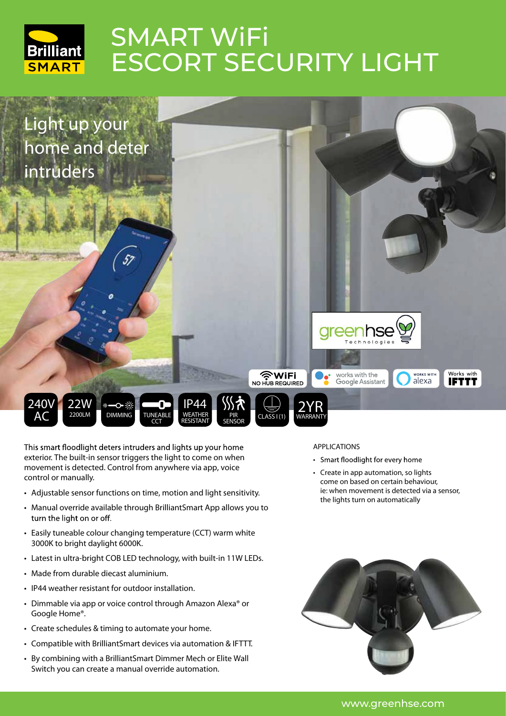



This smart floodlight deters intruders and lights up your home **exterior. The built-in sensor triggers the light to come on when movement is detected. Control from anywhere via app, voice control or manually.**

- Adjustable sensor functions on time, motion and light sensitivity.
- Manual override available through BrilliantSmart App allows you to turn the light on or off.
- Easily tuneable colour changing temperature (CCT) warm white 3000K to bright daylight 6000K.
- Latest in ultra-bright COB LED technology, with built-in 11W LEDs.
- Made from durable diecast aluminium.
- IP44 weather resistant for outdoor installation.
- Dimmable via app or voice control through Amazon Alexa® or Google Home®.
- Create schedules & timing to automate your home.
- Compatible with BrilliantSmart devices via automation & IFTTT.
- By combining with a BrilliantSmart Dimmer Mech or Elite Wall Switch you can create a manual override automation.

## **APPLICATIONS**

- Smart floodlight for every home
- Create in app automation, so lights come on based on certain behaviour, ie: when movement is detected via a sensor, the lights turn on automatically



www.greenhse.com